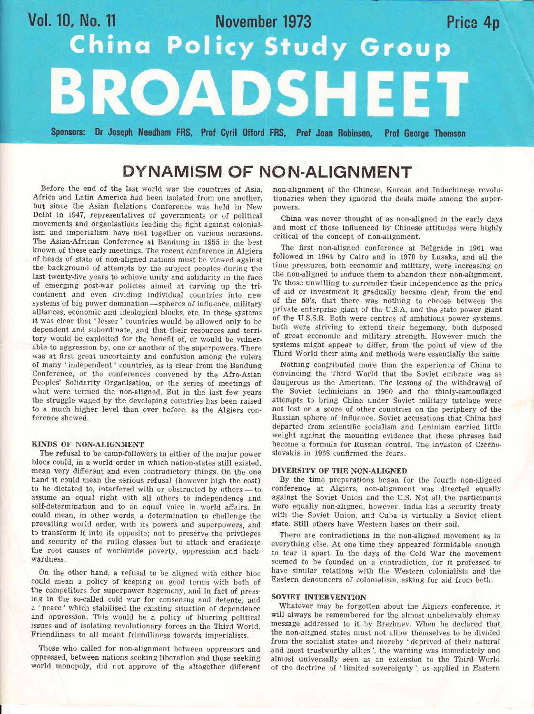# Vol. 10, No. 11 November 1973 Price 4p<br>
China Policy Study Group ROADSHE Sponsors: 0r Joseph Needham FRS, Frof Cyril 0fford FRS, Prof Joan Robinson, Prof George Thomson

### DYNAMISM OF NON-ALIGNMENT

Before the end of the last world war the countries of Asia. Africa and Latin America had been isolated from one another, but since the Asian Relations Conference was held in New Delhi in 1947, representatives of governments or of political movements and organisations leading the fight against colonialism and imperialism have met together on various occasions. The Asian-African Conference at Bandung in 1955 is the best known of these early meetings. The recent conference in Algiers of heads of state of non-aligned nations must be viewed against the background of attempts by the subject peoples during the last twenty-five years to achieve unity and solidarity in the face of emerging post-war policies aimed at carving up the tricontinent and even dividing individual countries into new systems of big power domination-spheres of influence, military alliances, economic and ideological blocks, etc. In these systems it was clear that 'lesser' countries would be allowed only to be dependent and subordinate, and that their resources and territory would be exploited for the benefit of, or would be vulnerable to aggression by, one or another of the superpowers. There was at first great uncertainty and confusion among the rulers of many 'independent' countries, as is clear from the Bandung Conference, or the conferences convened by the Afro-Asian Peoples' Solidarity Organisation, or the series of meetings of what were termed the non-aligned. But in the iast few years the struggle waged by the developing countries has been raised to a much higher level than ever before, as the Algiers conference showed.

#### KINDS OF NON-ALIGNMENT

The refusal to be camp-followers in either of the major power blocs could, in a world order in which nation-states still existed, mean very different and even contradictory things. On the one hand it could mean the serious refusal (however high the cost) to be dictated to, interfered with or obstructed by others to assume an equal right with all others to independence and self-determination and to an equal voice in wortd affairs. In could mean, in other words, a determination to challenge the prevailing world order, with its powers and superpowers, and to transform it into its opposite; not to preserve the privileges and security of the ruling classes but to attack and eradicate the root causes of worldwide poverty, oppression and backwardness.

On the other hand, a refusal to be aligned with either bloc could mean a policy of keeping on good terms with both of the competitors for superpower hegemony, and in fact of pressing in the so-called cold war for consensus and detente, and a 'peace' which stabilised the existing situation of dependence and oppression. This would be a policy of blurring political issues and of isolating revolutionary forces in the Third World. Friendliness to all meant friendliness towards imperialists.

Those who called for non-alignment between oppressors and oppressed, between nations seeking liberation and those seeking world monopoly, did not approve of the altogether different non-alignment of the Chinese, Korean and Indochinese revolutionaries when they ignored the deals made among the superpowers.

China was never thought of as non-aligned in the early days and most of those influenced by Chinese attitudes were highly critical of the concept of non-alignrnent.

The first non-aligned conference at Belgrade in 1961 was followed in 1964 by Cairo and in 1970 by Lusaka, and all the time pressures, both economic and military, were increasing on the non-aligned to induce them to abandon their non-alignment. To those unwilling to surrender their independence as the price of aid or investrnent it gradually became clear, from the end of the 50's, that there was nothing to choose between the private enterprise giant of the U.S.A. and the state power giant of the U.S.S.R. Both were centres of ambitious power systems, both were striving to extend their hegemony, both disposed of great economic and military strength. However much the systems might appear to differ, from the point of view of the Third World their aims and methods were essentially the same.

Nothing confributed more than the experience of China to convincing the Third World that the Soviet emhrace was as dangerous as the American. The lessons of the withdrawal of the Soviet technicians in 1960 and the thinly-camouflaged attempts to bring China under Soviet military tutelage were not lost on a score of other countries on the periphery of the Bussian sphere of influence. Soviet accusations that China had departed from scientific socialism and Leninism carried little weight against the mounting evidence that these phrases had become a formula for Russian control. The invasion of Czeehoslovakia in 1968 confirmed the fears.

#### DIVERSITY OF THE NON-ALIGNED

By the time preparations began for the fourth non-aligned conference at Algiers, non-alignment was directed equally against the Soviet Union and the U.S. Not all the participants were equally non-aligned, however. India has a security treaty with the Soviet Union, and Cuba is virtually a Soviet client state. Still others have Western bases on their soil.

There are contradictions in the non-aligned movement as in everything else. At one time they appeared formidable enough to tear it apart. In the days of the Cold War the movement seemed to be founded on a contradiction, for it professed to have simiiar relations with the Western colonialists and the Eastern denouncers of colonialism, asking for aid from both.

#### SOVIET INTERVENTION

Whatever may be forgotten about the Algiers conference, it will always be remembered for the almost unbelievably clumsy message addressed to it by Brezhnev. When he declared that the non-aligned states must not allow themselves to be divided from the socialist states and thereby 'deprived of their natural and most trustworthy allies ', the warning was immediately and almost universally seen as an extension to the Third World of the doctrine of 'limited sovereignty ', as applied in Eastern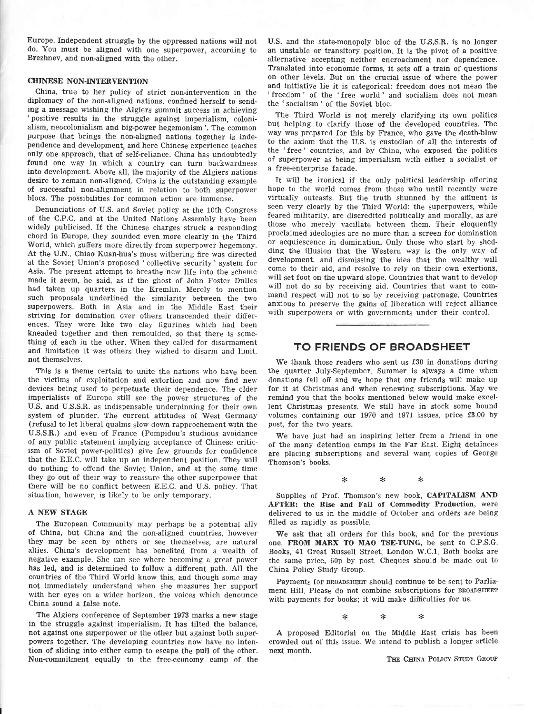Europe. Independent struggle by the oppressed nations will not do. You must be aligned with one superpower, according to Brezhnev, and non-aligned with the other.

#### CHINESE NON-INTERVENTION

China, true to her policy of strict non-intervention in the diplomacy of the non-aligned nations, confined herself to sending a message wishing the Algiers summit success in achieving 'positive results in the struggle against imperialism, colonialism, neocolonialism and big-power hegemonism'. The common purpose that brings the non-aligned nations together is independence and development, and here Chinese experience teaches only one approach, that of self-reliance. China has undoubtedly found one way in which a country can turn backwardness into development. Above all, the majority of the Algiers nations desire to remain non-aligned. China is the outstanding example of successful non-alignment in relation to both superpower blocs. The possibilities for common action are immense.

Denunciations of U.S. and Soviet policy at the 10th Congress of the C.P.C. and at the United Nations Assembly have been widely publicised. If the Chinese charges struck a responding chord in Europe, they sounded even more clearly in the Third World, which suffers more directly from superpower hegemony. At the U.N., Chiao Kuan-hua's mosi withering fire was directed at the Soviet Union's proposed ' collective security' system for Asia. The present attempt to breathe new life into the scheme made it seem, he said, as if the ghost of John Foster Dulles had taken up quarters in the Kremlin. Merely to mention such proposals underlined the similarity between the two superpowers. Both in Asia and in the Middle East their striving for domination over others transcended their differences. They were like two clay figurines which had been kneaded together and then remoulded, so that there is something of each in the other. When they called for disarmament and limitation it was others they wished to disarm and limit, not themselves.

This is a theme certain to unite the nations who have been the victims of exploitation and extortion and now find new devices being used to perpetuate their dependence. The older imperialists of Europe still see the power structures of the U.S. and U.S.S.R. as indispensable underpinning for their own system of plunder. The current attitudes of West Germany (refusal to let liberal qualms slow down rapprochement with the U.S.S.R.) and even of France (Pompidou's studious avoidance of any public statement implying acceptance of Chinese criticism of Soviet power-politics) give few grounds for confidence that the E.E.C. will take up an independent position. They will do nothing to offend the Soviet Union, and at the same time they go out of their way to reassure the other superpower that there will be no conflict between E.E.C. and U.S. policy. That situation, however, is likeiy to be only temporary.

#### A NEW STAGE

The European Community may perhaps be a potential ally of China, but China and the non-aligned countries, however they may be seen by others or see themselves, are natural allies. China's development has benefited from a wealth of negative example. She can see where becoming a great power has led, and is determined to follow a different path. All the countries of the Third World know this, and though some may not immediately understand when she measures her support with her eyes on a wider horizon, the voices which denounce China sound a false note.

The Algiers conference of September 1973 marks a new stage in the struggle against imperialism. It has tilted the balance, not against one superpower or the other but against both superpowers together. The developing countries now have no intention of sliding into either camp to escape the pull of the other. Non-commitment equally to the free-economy camp of the

U,S. and the state-monopoly bloc of the U.S,S.R. is no longer an unstable or transitory position. It is the pivot of a positive alternative accepting neither encroachment nor dependence. Translated into economic forms, it sets off a train of questions on other levels. But on the crucial issue of where the power and initiative lie it is categorical: freedom does not mean the 'freedom' of the 'free world' and socialism does not mean the 'socialism' of the Soviet bloc.

The Third World is not merely clarifying its own politics but helping to clarify those of the developed countries. The way was prepared for this by France, who gave the death-blow to the axiom that the U.S. is custodian of all the interests of the 'free' countries, and by China, who exposed the politics of superpower as being imperialism with either a socialist or a free-enterprise facade.

It will be ironical if the only political leadership offering hope to the world comes from those who until recently were virtually outcasts. But the truth shunned by the affiuent is seen very clearly by the Third World: the superpowers, while feared militarily, are discredited politically and morally, as are those who merely vacillate between them. Their eloquently proclaimed ideologies are no more than a screen for domination or acquiescence in domination. Only those who start by shedding the illusion that the Western way is the only way of development, and dismissing the idea that the wealthy will come to their aid, and resolve to rely on their own exertions, will set foot on the upward slope. Countries that want to develop will not do so by receiving aid. Countries that want to command respect will not to so by receiving patronage, Countries anxious to preserve the gains of liheration will reject alliance with superpowers or with governments under their control.

#### TO FRIENDS OF BROADSHEET

We thank those readers who sent us £30 in donations during the quarter July.September. Summer is always a time when donations fall off and we hope that our friends will make up for it at Christmas and when renewing subscriptions. May we remind you that the books mentioned beiow would make excel' lent Christmas presents. We still have in stock some bound volumes containing our 1970 and 1971 issues, price f3.00 by post, for the two years.

We have just had an inspiring letter from a friend in one of the many detention camps in the Far East. Eight detainees are placing subscriptions and several want copies of George Thomson's books.

> $\ast$  $\ast$  $\ast$

Supplies of Prof. Thomson's new book, CAPITALISM AND AFTER: the Rise and Fall of Commodity Production, were delivered to us in the middle of October and orders are being flIled as rapidly as possible.

We ask that all orders for this book, and for the previous one, FROM MARX T0 MAO TSE-TUNG, be sent to C.P.S.G. Books, 41 Great Russell Street, London W.C.l. Both books are the same price, 60p by post. Cheques should be made out to China Policy Study Group.

Payments for BRoADSHEET should continue to be sent to Parliament Hill. Please do not combine subscriptions for BROADSHEET with payments for books; it will make difficulties for us.

> $\ast$  $\ast$  $\ast$

A proposed Editorial on the Middle East crisis has been crowded out of this issue. We intend to publish a longer article next month.

THE CHINA POLICY STUDY GROUP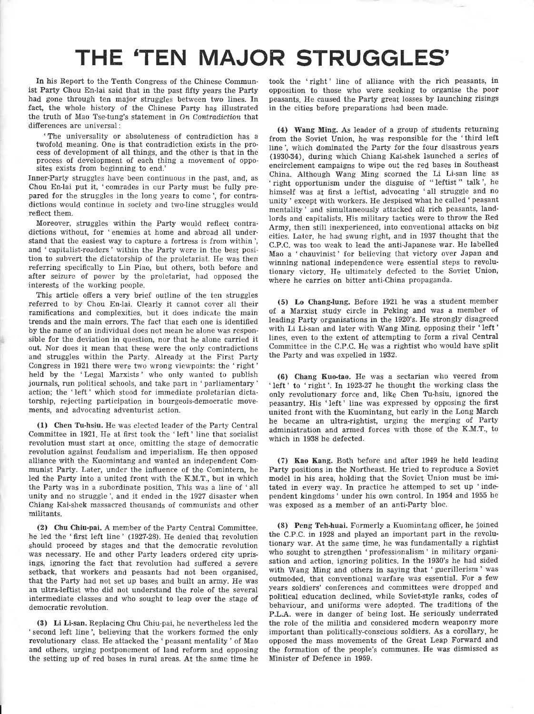## THE'TEN MAJOR STRUGGLES'

In his Report to the Tenth Congress of the Chinese Communist Party Chou En-lai said that in the past fifty years the Party had gone through ten major struggles between two lines. In fact, the whole history of the Chinese Party has illustrated the truth of Mao Tse-tung's statement in On Contradiction that differences are universal :

'The universality or absoluteness of contradiction has <sup>a</sup> twofold meaning. One is that contradiction exists in the process of development of all things, and the other is that in the process of deveiopment of each thing a movement of opposites exists from beginning to end.'

Inner-Party struggles have been continuous in the past, and, as Chou En-lai put it, 'comrades in our Party must be fully prepared for the struggles in the long years to come', for contradictions would continue in society and two-line struggles would reflect them.

Moreover, struggles within the Party wouid reflect contradictions without, for 'enemies at home and abroad all understand that the easiest way to capture a fortress is from within', and ' capitalist-roaders' within the Party were in the best position to subvert the dictatorship of the proletariat. He was then referring specifically to Lin Piao, but others, both before and after seizure of power by the proietariat, had opposed the interests of the working people.

This article offers a very brief outline of the ten struggles referred to by Chou En-Iai. Clearly it cannot cover aII their ramifications and complexities, but it does indicate the main trends and the main errors. The fact that each one is identifled by the name of an individual does not mean he alone was responsible for the deviation in question, nor that he alone carried it out. Nor does it mean that these were the only contradictions and struggles within the Party. Already at the First Party Congress in 1921 there were two wrong viewpoints: the 'right' held by the 'Legal Marxists' who only wanted to publish journals, run political schools, and take part in 'parliamentary' action; the 'left' which stood for immediate proletarian dictatorship, rejecting participation in bourgeois-democratic movements, and advocating adventurist action.

(1) Chen Tu-hsiu. He was elected leader of the Party Central Committee in 1921. He at first took the 'left' line that socialist revolution must start at once, omitting the stage of democratic revolution against feudalism and imperialism. He then opposed alliance with the Kuomintang and wanted an independent Communist Party. Later, under the influence of the Comintern, he led the Party into a united front with the K.M.T., but in which the Party was in a subordinate position. This was a line of 'all unity and no struggle', and it ended in the 1927 disaster when Chiang Kaishek massacred thousands of communists and other militants.

(2) Chu Chiu-pai. A member of the Party Central Committee, he led the 'first left line' (1927-28). He denied that revolution should proceed by stages and that the democratic revolution was necessary. He and other Party leaders ordered city uprisings, ignoring the fact that revolution had suffered a severe setback, that workers and peasants had not been organised, that the Party had not set up bases and built an army. He was an ultra-leftist who did not understand the role of the several intermediate classes and who sought to leap over the stage of democratic revolution.

(3) Li Li-san. Replacing Chu Chiu-pai, he nevertheless led the ' second left line', believing that the workers formed the only revolutionary class. He attacked the 'peasant mentality ' of Mao and others, urging postponement of land reform and opposing the setting up of red bases in rural areas. At the same time he took the 'right' line of alliance with the rich peasants, in opposition to those who were seeking to organise the poor peasants. He caused the Party great losses by launching risings in the cities before preparations had been made.

(4) Wang Ming. As leader of a group of students returning from the Soviet Union, he was responsible for the 'third left line', which dominated the Party for the four disastrous years (1930-34), during which Chiang Kai-shek launched a series of encirclement campaigns to wipe oui the red bases in Southeast China. Although Wang Ming scorned the Li Li-san line as 'right opportunism under the disguise of " leftist " talk', he himself was at first a leftist, advocating 'all struggle and no unity' except with workers. He Jespised what he called'peasant mentality' and simultaneously attacked all rich peasants, landlords and capitalists. His military tactics were to throw the Red Army, then still inexperienced, into conventional attacks on big cities. Later, he had swung right, and in 1937 thought that the C.P.C. was too weak to lead the anti-Japanese war. He labelled Mao a ' chauvinist' for believing that victory over Japan and winning national independence were essential steps to revolutionary victory. He ultimately defected to the Soviet Union, where he carries on bitter anti-China propaganda.

(5) Lo Chang-lung. Before 1921 he was a student member of a Marxist study circle in Peking and was a member of leading Party organisations in the 1920's. He strongly disagreed with Li Li-san and later with Wang Ming, opposing their 'left' lines, even to the extent of attempting to form a rival Central Committee in the C.P.C. He was a rightist who would have split the Party and was expelled in 1932.

(6) Chang Kuo-tao. He was a sectarian who veered from 'left' to 'right'. In 1923-27 he thought the working class the only revolutionary force and, like Chen Tu-hsiu, ignored the peasantry. His 'left' line was expressed by opposing the first united front with the Kuomintang, but early in the Long March he became an ultra-rightist, urging the merging of Party administration and armed forces with those of the K.M.T., to which in 1938 he defected.

(7) Kao Kang. Both before and after 1949 he held leading Party positions in the Northeast. He tried to reproduce a Soviet model in his area, holding that the Soviet Union must be imitated in every way. In practice he attemped to set up 'inde pendent kingdoms' under his own control. In 1954 and 1955 he was exposed as a member of an anti-Party bloc.

(8) Peng Teh-huai. Formerly a Kuomintang officer, he joined the C.P.C. in 1928 and played an important part in the revolutionary war. At the same time, he was fundamentally a rightist who sought to strengthen 'professionalism' in military organisation and action, ignoring politics. In the 1930's he had sided with Wang Ming and others in saying that 'guerillerism' was outmoded, that conventional warfare was essential. For a few years soldiers' conferences and committees were dropped and political education declined, while Soviet-style ranks, codes of behaviour, and uniforms were adopted. The traditions of the P.L.A. were in danger of being lost. He seriously underrated the role of the militia and considered modern weaponry more important than politically-conscious soldiers. As a corollary, he opposed the mass movements of the Great Leap Forward and the formation of the people's communes. He was dismissed as Minister of Defence in 1959.